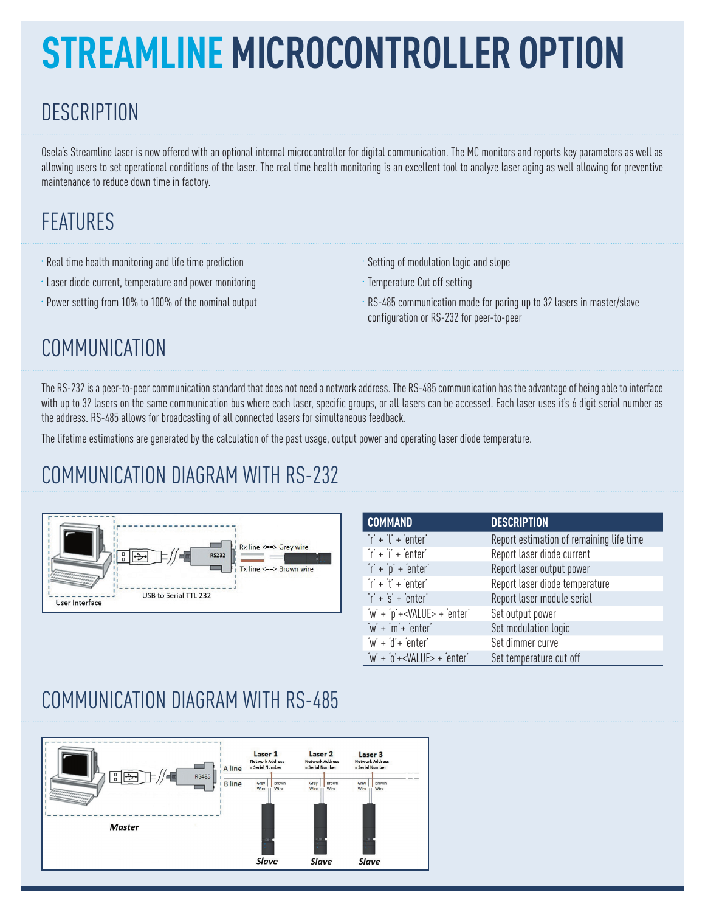# **STREAMLINE MICROCONTROLLER OPTION**

# **DESCRIPTION**

Osela's Streamline laser is now offered with an optional internal microcontroller for digital communication. The MC monitors and reports key parameters as well as allowing users to set operational conditions of the laser. The real time health monitoring is an excellent tool to analyze laser aging as well allowing for preventive maintenance to reduce down time in factory.

## FEATURES

- Real time health monitoring and life time prediction
- Laser diode current, temperature and power monitoring
- Power setting from 10% to 100% of the nominal output
- Setting of modulation logic and slope
- Temperature Cut off setting
- RS-485 communication mode for paring up to 32 lasers in master/slave configuration or RS-232 for peer-to-peer

# **COMMUNICATION**

The RS-232 is a peer-to-peer communication standard that does not need a network address. The RS-485 communication has the advantage of being able to interface with up to 32 lasers on the same communication bus where each laser, specific groups, or all lasers can be accessed. Each laser uses it's 6 digit serial number as the address. RS-485 allows for broadcasting of all connected lasers for simultaneous feedback.

The lifetime estimations are generated by the calculation of the past usage, output power and operating laser diode temperature.

### COMMUNICATION DIAGRAM WITH RS-232



| <b>COMMAND</b>                                     | <b>DESCRIPTION</b>                       |
|----------------------------------------------------|------------------------------------------|
| $\dot{r}$ + $\ddot{l}$ + enter                     | Report estimation of remaining life time |
| $\ddot{\mathsf{r}}$ + $\dddot{\mathsf{r}}$ + enter | Report laser diode current               |
| $\dot{r}$ + $\dot{p}$ + enter                      | Report laser output power                |
| $\dot{r}$ + $\dot{t}$ + enter                      | Report laser diode temperature           |
| $\ddot{r}$ + $\dot{s}$ + enter                     | Report laser module serial               |
| 'w' + 'p'+ <value> + 'enter'</value>               | Set output power                         |
| $w' + m' + \text{enter}'$                          | Set modulation logic                     |
| $w' + d' + \text{enter}'$                          | Set dimmer curve                         |
| $\dot{W}$ + $\dot{0}$ + <value> + enter</value>    | Set temperature cut off                  |

#### COMMUNICATION DIAGRAM WITH RS-485